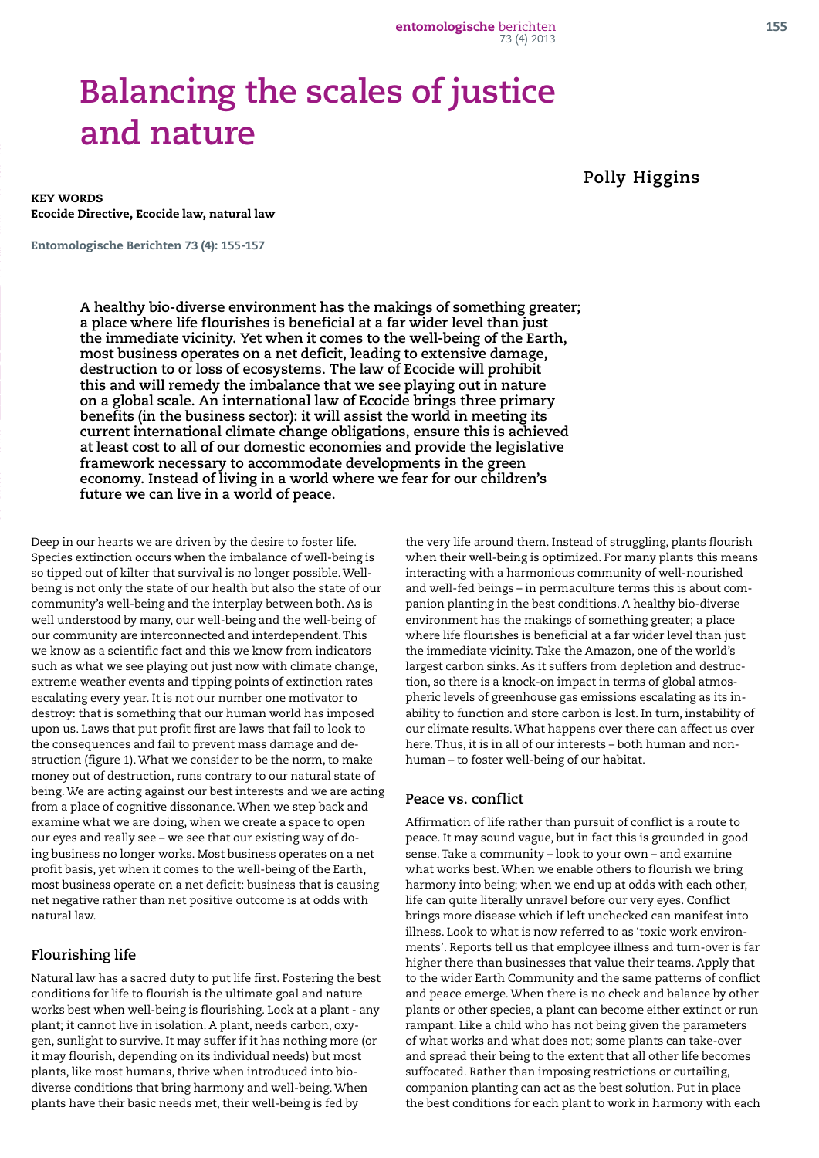# **Balancing the scales of justice and nature**

**Polly Higgins**

KEY WORDS Ecocide Directive, Ecocide law, natural law

Entomologische Berichten 73 (4): 155-157

**A healthy bio-diverse environment has the makings of something greater; a place where life flourishes is beneficial at a far wider level than just the immediate vicinity. Yet when it comes to the well-being of the Earth, most business operates on a net deficit, leading to extensive damage, destruction to or loss of ecosystems. The law of Ecocide will prohibit this and will remedy the imbalance that we see playing out in nature on a global scale. An international law of Ecocide brings three primary benefits (in the business sector): it will assist the world in meeting its current international climate change obligations, ensure this is achieved at least cost to all of our domestic economies and provide the legislative framework necessary to accommodate developments in the green economy. Instead of living in a world where we fear for our children's future we can live in a world of peace.**

Deep in our hearts we are driven by the desire to foster life. Species extinction occurs when the imbalance of well-being is so tipped out of kilter that survival is no longer possible. Wellbeing is not only the state of our health but also the state of our community's well-being and the interplay between both. As is well understood by many, our well-being and the well-being of our community are interconnected and interdependent. This we know as a scientific fact and this we know from indicators such as what we see playing out just now with climate change, extreme weather events and tipping points of extinction rates escalating every year. It is not our number one motivator to destroy: that is something that our human world has imposed upon us. Laws that put profit first are laws that fail to look to the consequences and fail to prevent mass damage and destruction (figure 1). What we consider to be the norm, to make money out of destruction, runs contrary to our natural state of being. We are acting against our best interests and we are acting from a place of cognitive dissonance. When we step back and examine what we are doing, when we create a space to open our eyes and really see – we see that our existing way of doing business no longer works. Most business operates on a net profit basis, yet when it comes to the well-being of the Earth, most business operate on a net deficit: business that is causing net negative rather than net positive outcome is at odds with natural law.

#### **Flourishing life**

Natural law has a sacred duty to put life first. Fostering the best conditions for life to flourish is the ultimate goal and nature works best when well-being is flourishing. Look at a plant - any plant; it cannot live in isolation. A plant, needs carbon, oxygen, sunlight to survive. It may suffer if it has nothing more (or it may flourish, depending on its individual needs) but most plants, like most humans, thrive when introduced into biodiverse conditions that bring harmony and well-being. When plants have their basic needs met, their well-being is fed by

the very life around them. Instead of struggling, plants flourish when their well-being is optimized. For many plants this means interacting with a harmonious community of well-nourished and well-fed beings – in permaculture terms this is about companion planting in the best conditions. A healthy bio-diverse environment has the makings of something greater; a place where life flourishes is beneficial at a far wider level than just the immediate vicinity. Take the Amazon, one of the world's largest carbon sinks. As it suffers from depletion and destruction, so there is a knock-on impact in terms of global atmospheric levels of greenhouse gas emissions escalating as its inability to function and store carbon is lost. In turn, instability of our climate results. What happens over there can affect us over here. Thus, it is in all of our interests – both human and nonhuman – to foster well-being of our habitat.

#### **Peace vs. conflict**

Affirmation of life rather than pursuit of conflict is a route to peace. It may sound vague, but in fact this is grounded in good sense. Take a community – look to your own – and examine what works best. When we enable others to flourish we bring harmony into being; when we end up at odds with each other, life can quite literally unravel before our very eyes. Conflict brings more disease which if left unchecked can manifest into illness. Look to what is now referred to as 'toxic work environments'. Reports tell us that employee illness and turn-over is far higher there than businesses that value their teams. Apply that to the wider Earth Community and the same patterns of conflict and peace emerge. When there is no check and balance by other plants or other species, a plant can become either extinct or run rampant. Like a child who has not being given the parameters of what works and what does not; some plants can take-over and spread their being to the extent that all other life becomes suffocated. Rather than imposing restrictions or curtailing, companion planting can act as the best solution. Put in place the best conditions for each plant to work in harmony with each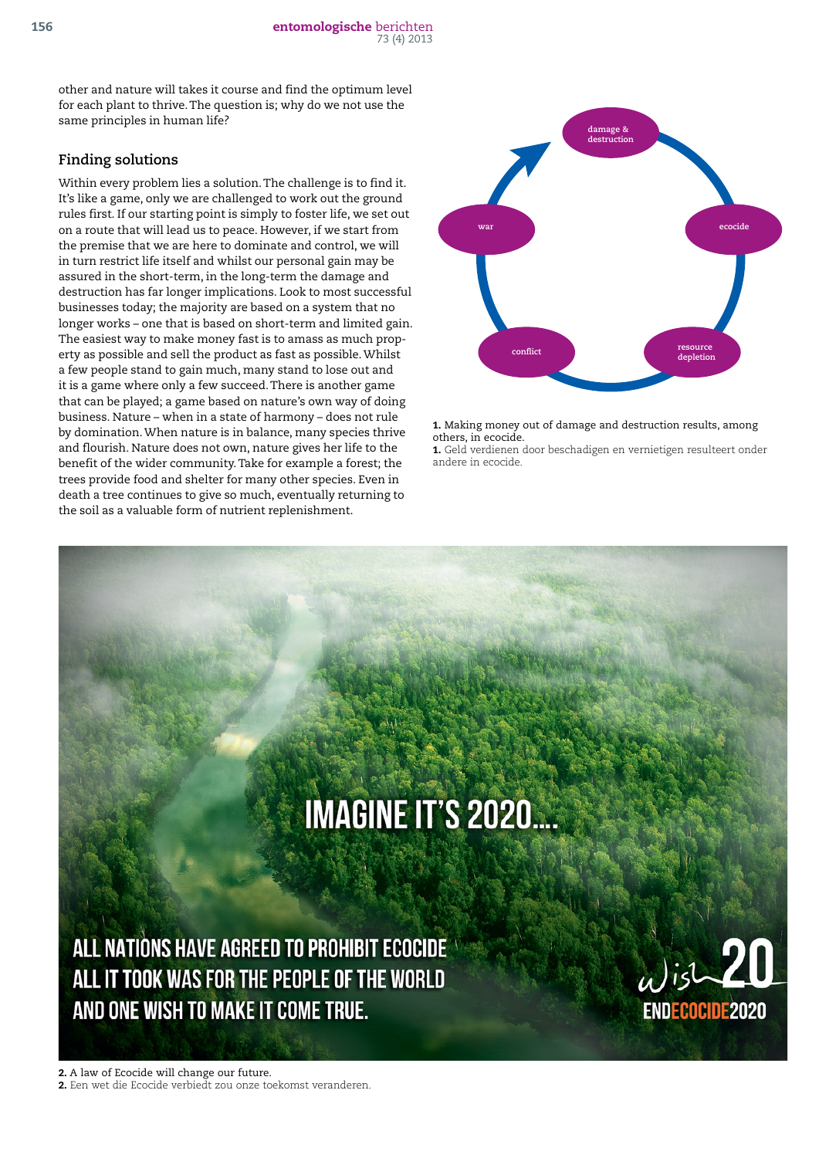other and nature will takes it course and find the optimum level for each plant to thrive. The question is; why do we not use the same principles in human life?

## **Finding solutions**

Within every problem lies a solution. The challenge is to find it. It's like a game, only we are challenged to work out the ground rules first. If our starting point is simply to foster life, we set out on a route that will lead us to peace. However, if we start from the premise that we are here to dominate and control, we will in turn restrict life itself and whilst our personal gain may be assured in the short-term, in the long-term the damage and destruction has far longer implications. Look to most successful businesses today; the majority are based on a system that no longer works – one that is based on short-term and limited gain. The easiest way to make money fast is to amass as much property as possible and sell the product as fast as possible. Whilst a few people stand to gain much, many stand to lose out and it is a game where only a few succeed. There is another game that can be played; a game based on nature's own way of doing business. Nature – when in a state of harmony – does not rule by domination. When nature is in balance, many species thrive and flourish. Nature does not own, nature gives her life to the benefit of the wider community. Take for example a forest; the trees provide food and shelter for many other species. Even in death a tree continues to give so much, eventually returning to the soil as a valuable form of nutrient replenishment.



1. Making money out of damage and destruction results, among others, in ecocide.

1. Geld verdienen door beschadigen en vernietigen resulteert onder andere in ecocide.

# **IMAGINE IT'S 2020....**

ALL NATIONS HAVE AGREED TO PROHIBIT ECOCIDE ALL IT TOOK WAS FOR THE PEOPLE OF THE WORLD AND ONE WISH TO MAKE IT COME TRUE.



2. A law of Ecocide will change our future. 2. Een wet die Ecocide verbiedt zou onze toekomst veranderen.